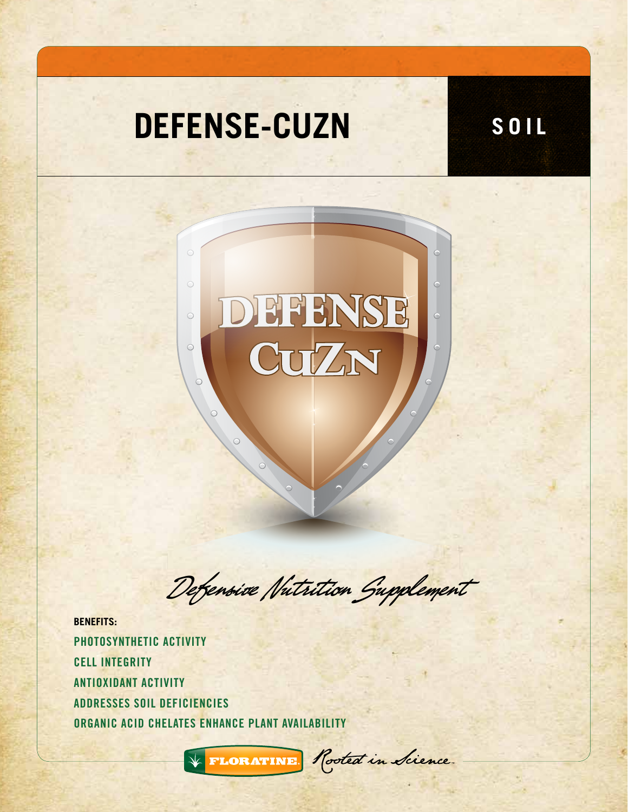## **DEFENSE-CUZN SOIL**



Defensive Nutrition Supplement

**BENEFITS:** PHOTOSYNTHETIC ACTIVITY CELL INTEGRITY ANTIOXIDANT ACTIVITY ADDRESSES SOIL DEFICIENCIES ORGANIC ACID CHELATES ENHANCE PLANT AVAILABILITY